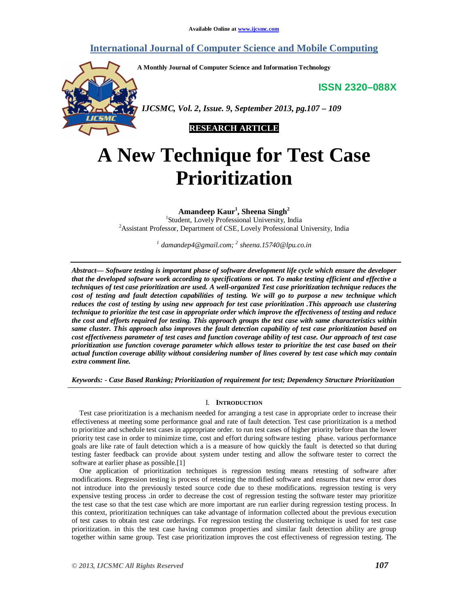# **International Journal of Computer Science and Mobile Computing**

**A Monthly Journal of Computer Science and Information Technology**

**ISSN 2320–088X**



 *IJCSMC, Vol. 2, Issue. 9, September 2013, pg.107 – 109*



# **A New Technique for Test Case Prioritization**

**Amandeep Kaur<sup>1</sup> , Sheena Singh<sup>2</sup>**

1 Student, Lovely Professional University, India <sup>2</sup>Assistant Professor, Department of CSE, Lovely Professional University, India

*1 damandep4@gmail.com; 2 sheena.15740@lpu.co.in*

*Abstract— Software testing is important phase of software development life cycle which ensure the developer that the developed software work according to specifications or not. To make testing efficient and effective a techniques of test case prioritization are used. A well-organized Test case prioritization technique reduces the cost of testing and fault detection capabilities of testing. We will go to purpose a new technique which reduces the cost of testing by using new approach for test case prioritization .This approach use clustering technique to prioritize the test case in appropriate order which improve the effectiveness of testing and reduce the cost and efforts required for testing. This approach groups the test case with same characteristics within same cluster. This approach also improves the fault detection capability of test case prioritization based on cost effectiveness parameter of test cases and function coverage ability of test case. Our approach of test case prioritization use function coverage parameter which allows tester to prioritize the test case based on their actual function coverage ability without considering number of lines covered by test case which may contain extra comment line.*

*Keywords: - Case Based Ranking; Prioritization of requirement for test; Dependency Structure Prioritization*

## I. **INTRODUCTION**

Test case prioritization is a mechanism needed for arranging a test case in appropriate order to increase their effectiveness at meeting some performance goal and rate of fault detection. Test case prioritization is a method to prioritize and schedule test cases in appropriate order. to run test cases of higher priority before than the lower priority test case in order to minimize time, cost and effort during software testing phase. various performance goals are like rate of fault detection which a is a measure of how quickly the fault is detected so that during testing faster feedback can provide about system under testing and allow the software tester to correct the software at earlier phase as possible.[1]

One application of prioritization techniques is regression testing means retesting of software after modifications. Regression testing is process of retesting the modified software and ensures that new error does not introduce into the previously tested source code due to these modifications. regression testing is very expensive testing process .in order to decrease the cost of regression testing the software tester may prioritize the test case so that the test case which are more important are run earlier during regression testing process. In this context, prioritization techniques can take advantage of information collected about the previous execution of test cases to obtain test case orderings. For regression testing the clustering technique is used for test case prioritization. in this the test case having common properties and similar fault detection ability are group together within same group. Test case prioritization improves the cost effectiveness of regression testing. The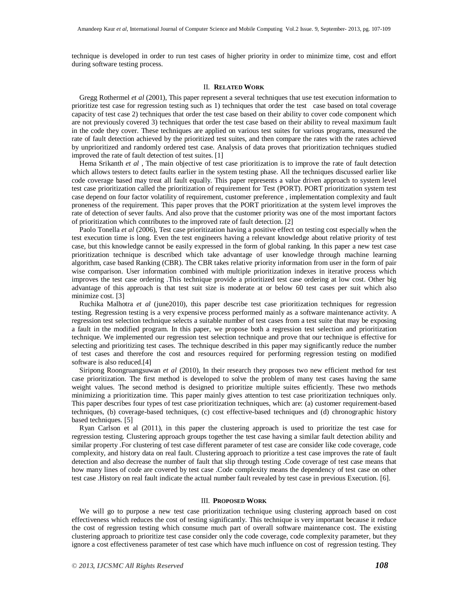technique is developed in order to run test cases of higher priority in order to minimize time, cost and effort during software testing process.

#### II. **RELATED WORK**

Gregg Rothermel *et al* (2001), This paper represent a several techniques that use test execution information to prioritize test case for regression testing such as 1) techniques that order the test case based on total coverage capacity of test case 2) techniques that order the test case based on their ability to cover code component which are not previously covered 3) techniques that order the test case based on their ability to reveal maximum fault in the code they cover. These techniques are applied on various test suites for various programs, measured the rate of fault detection achieved by the prioritized test suites, and then compare the rates with the rates achieved by unprioritized and randomly ordered test case. Analysis of data proves that prioritization techniques studied improved the rate of fault detection of test suites. [1]

Hema Srikanth *et al* , The main objective of test case prioritization is to improve the rate of fault detection which allows testers to detect faults earlier in the system testing phase. All the techniques discussed earlier like code coverage based may treat all fault equally. This paper represents a value driven approach to system level test case prioritization called the prioritization of requirement for Test (PORT). PORT prioritization system test case depend on four factor volatility of requirement, customer preference , implementation complexity and fault proneness of the requirement. This paper proves that the PORT prioritization at the system level improves the rate of detection of sever faults. And also prove that the customer priority was one of the most important factors of prioritization which contributes to the improved rate of fault detection. [2]

Paolo Tonella *et al* (2006), Test case prioritization having a positive effect on testing cost especially when the test execution time is long. Even the test engineers having a relevant knowledge about relative priority of test case, but this knowledge cannot be easily expressed in the form of global ranking. In this paper a new test case prioritization technique is described which take advantage of user knowledge through machine learning algorithm, case based Ranking (CBR). The CBR takes relative priority information from user in the form of pair wise comparison. User information combined with multiple prioritization indexes in iterative process which improves the test case ordering .This technique provide a prioritized test case ordering at low cost. Other big advantage of this approach is that test suit size is moderate at or below 60 test cases per suit which also minimize cost. [3]

Ruchika Malhotra *et al* (june2010), this paper describe test case prioritization techniques for regression testing. Regression testing is a very expensive process performed mainly as a software maintenance activity. A regression test selection technique selects a suitable number of test cases from a test suite that may be exposing a fault in the modified program. In this paper, we propose both a regression test selection and prioritization technique. We implemented our regression test selection technique and prove that our technique is effective for selecting and prioritizing test cases. The technique described in this paper may significantly reduce the number of test cases and therefore the cost and resources required for performing regression testing on modified software is also reduced.[4]

Siripong Roongruangsuwan *et al* (2010), In their research they proposes two new efficient method for test case prioritization. The first method is developed to solve the problem of many test cases having the same weight values. The second method is designed to prioritize multiple suites efficiently. These two methods minimizing a prioritization time. This paper mainly gives attention to test case prioritization techniques only. This paper describes four types of test case prioritization techniques, which are: (a) customer requirement-based techniques, (b) coverage-based techniques, (c) cost effective-based techniques and (d) chronographic history based techniques. [5]

Ryan Carlson et al (2011), in this paper the clustering approach is used to prioritize the test case for regression testing. Clustering approach groups together the test case having a similar fault detection ability and similar property .For clustering of test case different parameter of test case are consider like code coverage, code complexity, and history data on real fault. Clustering approach to prioritize a test case improves the rate of fault detection and also decrease the number of fault that slip through testing .Code coverage of test case means that how many lines of code are covered by test case .Code complexity means the dependency of test case on other test case .History on real fault indicate the actual number fault revealed by test case in previous Execution. [6].

#### III. **PROPOSED WORK**

We will go to purpose a new test case prioritization technique using clustering approach based on cost effectiveness which reduces the cost of testing significantly. This technique is very important because it reduce the cost of regression testing which consume much part of overall software maintenance cost. The existing clustering approach to prioritize test case consider only the code coverage, code complexity parameter, but they ignore a cost effectiveness parameter of test case which have much influence on cost of regression testing. They